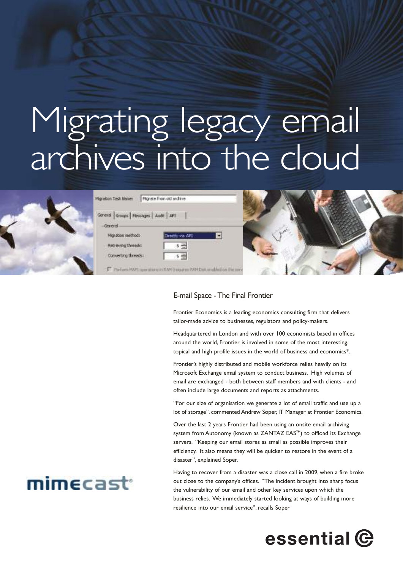# Migrating legacy email archives into the cloud



#### E-mail Space -The Final Frontier

Frontier Economics is a leading economics consulting firm that delivers tailor-made advice to businesses, regulators and policy-makers.

Headquartered in London and with over 100 economists based in offices around the world, Frontier is involved in some of the most interesting, topical and high profile issues in the world of business and economics\*.

Frontier's highly distributed and mobile workforce relies heavily on its Microsoft Exchange email system to conduct business. High volumes of email are exchanged - both between staff members and with clients - and often include large documents and reports as attachments.

"For our size of organisation we generate a lot of email traffic and use up a lot of storage", commented Andrew Soper, IT Manager at Frontier Economics.

Over the last 2 years Frontier had been using an onsite email archiving system from Autonomy (known as ZANTAZ EAS™) to offload its Exchange servers. "Keeping our email stores as small as possible improves their efficiency. It also means they will be quicker to restore in the event of a disaster", explained Soper.

Having to recover from a disaster was a close call in 2009, when a fire broke out close to the company's offices. "The incident brought into sharp focus the vulnerability of our email and other key services upon which the business relies. We immediately started looking at ways of building more resilience into our email service", recalls Soper



## mimecast